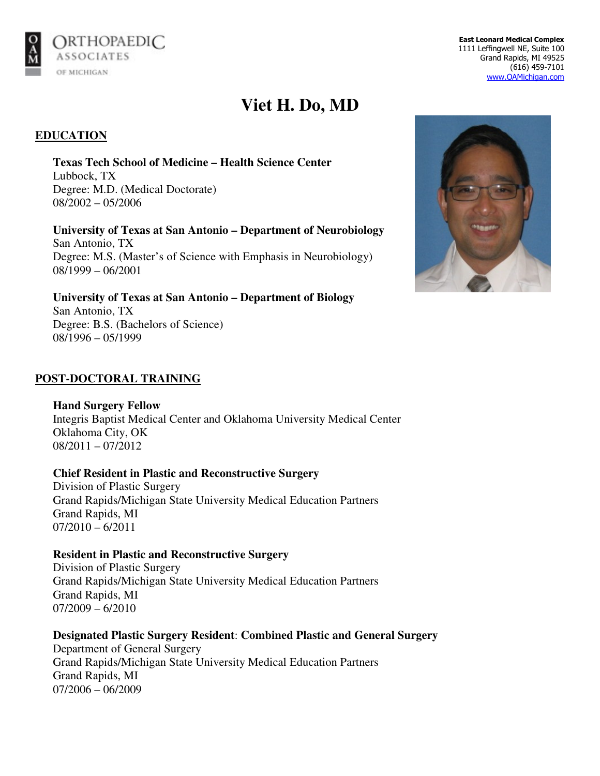

**East Leonard Medical Complex**  1111 Leffingwell NE, Suite 100 Grand Rapids, MI 49525 (616) 459-7101 www.OAMichigan.com

# **Viet H. Do, MD**

# **EDUCATION**

**Texas Tech School of Medicine – Health Science Center** Lubbock, TX Degree: M.D. (Medical Doctorate) 08/2002 – 05/2006

**University of Texas at San Antonio – Department of Neurobiology**  San Antonio, TX Degree: M.S. (Master's of Science with Emphasis in Neurobiology) 08/1999 – 06/2001

**University of Texas at San Antonio – Department of Biology**  San Antonio, TX Degree: B.S. (Bachelors of Science) 08/1996 – 05/1999

# **POST-DOCTORAL TRAINING**

**Hand Surgery Fellow**  Integris Baptist Medical Center and Oklahoma University Medical Center Oklahoma City, OK  $08/2011 - 07/2012$ 

#### **Chief Resident in Plastic and Reconstructive Surgery**

Division of Plastic Surgery Grand Rapids/Michigan State University Medical Education Partners Grand Rapids, MI  $07/2010 - 6/2011$ 

#### **Resident in Plastic and Reconstructive Surgery**

Division of Plastic Surgery Grand Rapids/Michigan State University Medical Education Partners Grand Rapids, MI 07/2009 – 6/2010

#### **Designated Plastic Surgery Resident**: **Combined Plastic and General Surgery**

Department of General Surgery Grand Rapids/Michigan State University Medical Education Partners Grand Rapids, MI 07/2006 – 06/2009

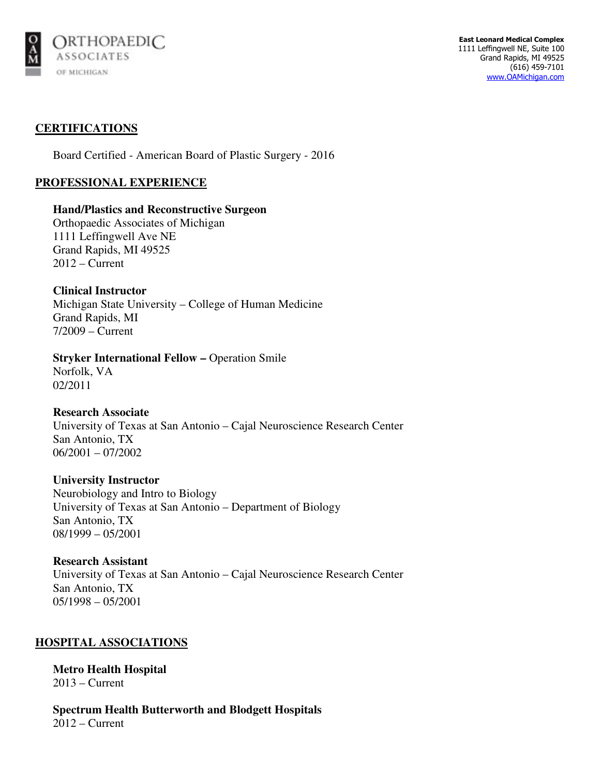

## **CERTIFICATIONS**

Board Certified - American Board of Plastic Surgery - 2016

## **PROFESSIONAL EXPERIENCE**

#### **Hand/Plastics and Reconstructive Surgeon**

Orthopaedic Associates of Michigan 1111 Leffingwell Ave NE Grand Rapids, MI 49525 2012 – Current

**Clinical Instructor**  Michigan State University – College of Human Medicine Grand Rapids, MI 7/2009 – Current

# **Stryker International Fellow – Operation Smile**

Norfolk, VA 02/2011

#### **Research Associate**

University of Texas at San Antonio – Cajal Neuroscience Research Center San Antonio, TX 06/2001 – 07/2002

#### **University Instructor**

Neurobiology and Intro to Biology University of Texas at San Antonio – Department of Biology San Antonio, TX 08/1999 – 05/2001

## **Research Assistant**

University of Texas at San Antonio – Cajal Neuroscience Research Center San Antonio, TX 05/1998 – 05/2001

# **HOSPITAL ASSOCIATIONS**

**Metro Health Hospital**  2013 – Current

**Spectrum Health Butterworth and Blodgett Hospitals**  2012 – Current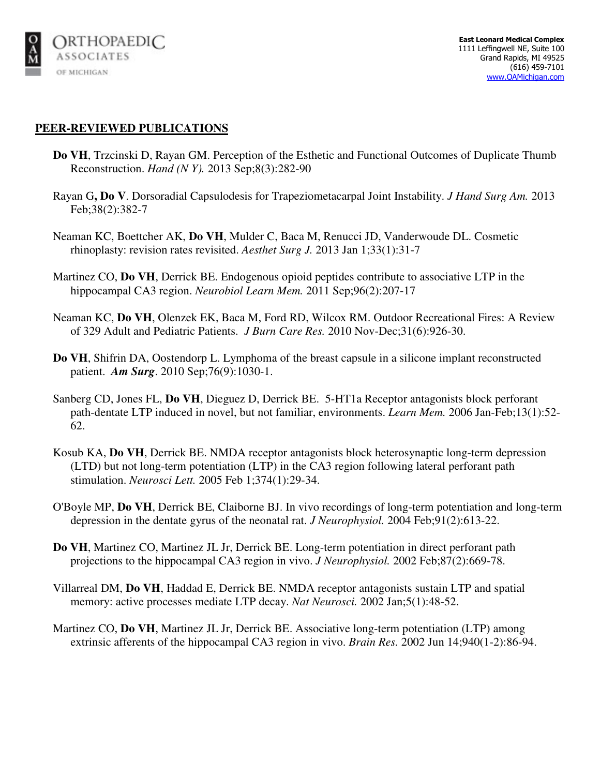

## **PEER-REVIEWED PUBLICATIONS**

- **Do VH**, Trzcinski D, Rayan GM. Perception of the Esthetic and Functional Outcomes of Duplicate Thumb Reconstruction. *Hand (N Y).* 2013 Sep;8(3):282-90
- Rayan G**, Do V**. Dorsoradial Capsulodesis for Trapeziometacarpal Joint Instability. *J Hand Surg Am.* 2013 Feb;38(2):382-7
- Neaman KC, Boettcher AK, **Do VH**, Mulder C, Baca M, Renucci JD, Vanderwoude DL. Cosmetic rhinoplasty: revision rates revisited. *Aesthet Surg J.* 2013 Jan 1;33(1):31-7
- Martinez CO, **Do VH**, Derrick BE. Endogenous opioid peptides contribute to associative LTP in the hippocampal CA3 region. *Neurobiol Learn Mem.* 2011 Sep;96(2):207-17
- Neaman KC, **Do VH**, Olenzek EK, Baca M, Ford RD, Wilcox RM. Outdoor Recreational Fires: A Review of 329 Adult and Pediatric Patients. *J Burn Care Res.* 2010 Nov-Dec;31(6):926-30.
- **Do VH**, Shifrin DA, Oostendorp L. Lymphoma of the breast capsule in a silicone implant reconstructed patient. *Am Surg*. 2010 Sep;76(9):1030-1.
- Sanberg CD, Jones FL, **Do VH**, Dieguez D, Derrick BE. 5-HT1a Receptor antagonists block perforant path-dentate LTP induced in novel, but not familiar, environments. *Learn Mem.* 2006 Jan-Feb;13(1):52- 62.
- Kosub KA, **Do VH**, Derrick BE. NMDA receptor antagonists block heterosynaptic long-term depression (LTD) but not long-term potentiation (LTP) in the CA3 region following lateral perforant path stimulation. *Neurosci Lett.* 2005 Feb 1;374(1):29-34.
- O'Boyle MP, **Do VH**, Derrick BE, Claiborne BJ. In vivo recordings of long-term potentiation and long-term depression in the dentate gyrus of the neonatal rat. *J Neurophysiol.* 2004 Feb;91(2):613-22.
- **Do VH**, Martinez CO, Martinez JL Jr, Derrick BE. Long-term potentiation in direct perforant path projections to the hippocampal CA3 region in vivo. *J Neurophysiol.* 2002 Feb;87(2):669-78.
- Villarreal DM, **Do VH**, Haddad E, Derrick BE. NMDA receptor antagonists sustain LTP and spatial memory: active processes mediate LTP decay. *Nat Neurosci.* 2002 Jan;5(1):48-52.
- Martinez CO, **Do VH**, Martinez JL Jr, Derrick BE. Associative long-term potentiation (LTP) among extrinsic afferents of the hippocampal CA3 region in vivo. *Brain Res.* 2002 Jun 14;940(1-2):86-94.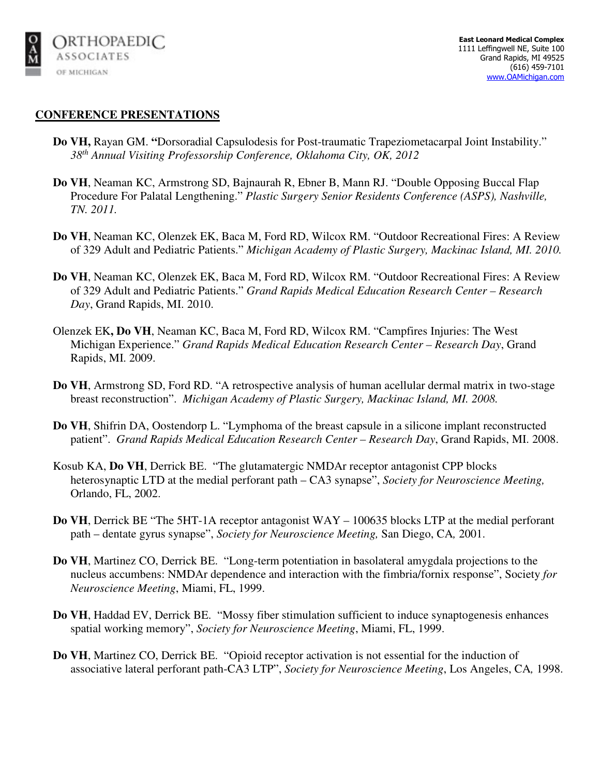

#### **CONFERENCE PRESENTATIONS**

- **Do VH,** Rayan GM. **"**Dorsoradial Capsulodesis for Post-traumatic Trapeziometacarpal Joint Instability." *38th Annual Visiting Professorship Conference, Oklahoma City, OK, 2012*
- **Do VH**, Neaman KC, Armstrong SD, Bajnaurah R, Ebner B, Mann RJ. "Double Opposing Buccal Flap Procedure For Palatal Lengthening." *Plastic Surgery Senior Residents Conference (ASPS), Nashville, TN. 2011.*
- **Do VH**, Neaman KC, Olenzek EK, Baca M, Ford RD, Wilcox RM. "Outdoor Recreational Fires: A Review of 329 Adult and Pediatric Patients." *Michigan Academy of Plastic Surgery, Mackinac Island, MI. 2010.*
- **Do VH**, Neaman KC, Olenzek EK, Baca M, Ford RD, Wilcox RM. "Outdoor Recreational Fires: A Review of 329 Adult and Pediatric Patients." *Grand Rapids Medical Education Research Center – Research Day*, Grand Rapids, MI. 2010.
- Olenzek EK**, Do VH**, Neaman KC, Baca M, Ford RD, Wilcox RM. "Campfires Injuries: The West Michigan Experience." *Grand Rapids Medical Education Research Center – Research Day*, Grand Rapids, MI. 2009.
- **Do VH**, Armstrong SD, Ford RD. "A retrospective analysis of human acellular dermal matrix in two-stage breast reconstruction". *Michigan Academy of Plastic Surgery, Mackinac Island, MI. 2008.*
- **Do VH**, Shifrin DA, Oostendorp L. "Lymphoma of the breast capsule in a silicone implant reconstructed patient". *Grand Rapids Medical Education Research Center – Research Day*, Grand Rapids, MI. 2008.
- Kosub KA, **Do VH**, Derrick BE. "The glutamatergic NMDAr receptor antagonist CPP blocks heterosynaptic LTD at the medial perforant path – CA3 synapse", *Society for Neuroscience Meeting,*  Orlando, FL, 2002.
- **Do VH**, Derrick BE "The 5HT-1A receptor antagonist WAY 100635 blocks LTP at the medial perforant path – dentate gyrus synapse", *Society for Neuroscience Meeting,* San Diego, CA*,* 2001.
- **Do VH**, Martinez CO, Derrick BE. "Long-term potentiation in basolateral amygdala projections to the nucleus accumbens: NMDAr dependence and interaction with the fimbria/fornix response", Society *for Neuroscience Meeting*, Miami, FL, 1999.
- **Do VH**, Haddad EV, Derrick BE. "Mossy fiber stimulation sufficient to induce synaptogenesis enhances spatial working memory", *Society for Neuroscience Meeting*, Miami, FL, 1999.
- **Do VH**, Martinez CO, Derrick BE. "Opioid receptor activation is not essential for the induction of associative lateral perforant path-CA3 LTP", *Society for Neuroscience Meeting*, Los Angeles, CA*,* 1998.